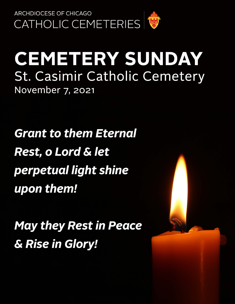

# **CEMETERY SUNDAY** St. Casimir Catholic Cemetery November 7, 2021

**Grant to them Eternal Rest, o Lord & let** perpetual light shine upon them!

**May they Rest in Peace** & Rise in Glory!

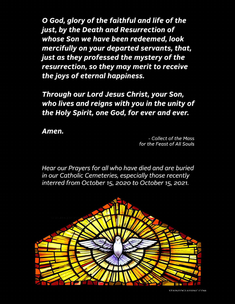O God, glory of the faithful and life of the just, by the Death and Resurrection of whose Son we have been redeemed, look mercifully on your departed servants, that, just as they professed the mystery of the resurrection, so they may merit to receive the joys of eternal happiness.

Through our Lord Jesus Christ, your Son, who lives and reigns with you in the unity of the Holy Spirit, one God, for ever and ever.

Amen.

- Collect of the Mass for the Feast of All Souls

Hear our Prayers for all who have died and are buried in our Catholic Cemeteries, especially those recently interred from October 15, 2020 to October 15, 2021.

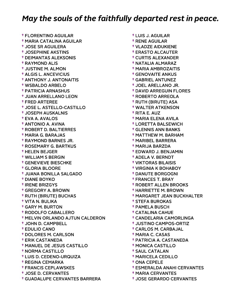† FLORENTINO AGUILAR † MARIA CATALINA AGUILAR † JOSE SR AGUILERA † JOSEPHINE AKSTINS † DEIMANTAS ALEKSONIS † RAYMOND ALIS † JUSTINE M. ALMON † ALGIS L. ANCEVICIUS † ANTHONY J. ANTONAITIS † WSBALDO ARBELO † PATRICIA ARNASHUS † JUAN ARRELLANO LEON † FRED ARTEREE † JOSE L. ASTELLO-CASTILLO † JOSEPH AUSKALNIS † EVA A. AVALOS † ANTONIO A. AVINA † ROBERT D. BALTIERRES † MARIA G. BARAJAS † RAYMOND BARNES JR. † ROSEMARY G. BARTKUS † HELEN BEJGER † WILLIAM S BERGIN † GENEVIEVE BIESCHKE † GLORIA BLOORE † JUANA BONILLA SALGADO † DIANE BOYKO † IRENE BRIZGYS † GREGORY A. BROWN † RUTH (BIRUTE) BUCHAS † VITA N. BULIKA † GARY M. BURTON † RODOLFO CABALLERO † MELVIN ORLANDO AJTUN CALDERON † JOHN D. CAMPBELL † EDULIO CANO † DOLORES M. CARLSON † ERIK CASTANEDA † MANUEL DE JESUS CASTILLO † NORMA CASTILLO † LUIS D. CEDENO-URQUIZA † REGINA CEMARKA † FRANCIS CEPLAWSKES † JOSE D. CERVANTES † GUADALUPE CERVANTES BARRERA

 † LUIS J. AGUILAR † RENE AGUILAR † VLADZE AIDUKIENE † ERASTO ALCAUTER † CURTIS ALEXANDER † NATALIA ALMARAZ † MARIA AMBROZAITIS † GENOVAITE ANKUS † GABRIEL ANTUNEZ † JOEL ARELLANO JR. † DAVID ARREGUIN FLORES † ROBERTO ARREOLA † RUTH (BIRUTE) ASA † WALTER ATKENSON † RITA E. AUZ † MARIA ELENA AVILA † LORETTA BALSEWICH † GLENNIS ANN BANKS † MATTHEW M. BARHAM † MARIBEL BARRERA † MARIJA BARZDA † EDWARD J. BENJAMIN † ADELA V. BERNDT † VIKTORAS BILAISIS † VIRGINIA K BOHABOY † DANUTE BORGOGNI † FRANCES T. BRAY † ROBERT ALLEN BROOKS † HARRIETTE M. BROWN † MARGARET JEAN BUCKHALTER † STEFA BUROKAS † PAMELA BUSCH † CATALINA CAHUE † CANDELARIA CAMORLINGA † JUSTINO CAMPOS-ORTIZ † CARLOS M. CARBAJAL † MARIA C. CASAS † PATRICIA A. CASTANEDA † MONICA CASTILLO † SAUL CATALAN † MARICELA CEDILLO † ONA CEPELE † ESMERALDA ANAHI CERVANTES

- † MARIA CERVANTES
- † JOSE GERARDO CERVANTES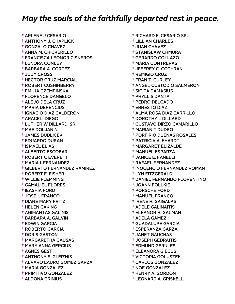† ARLENE J CESARIO † ANTHONY J. CHAPLICK † GONZALO CHAVEZ † ANNA M. CHICKERILLO † FRANCISCA LEONOR CISNEROS † LENORA CONLEY † BARBARA A. CORTEZ † JUDY CROSS † HECTOR CRUZ MARCIAL † ROBERT CUSHINBERRY † EMILIA CZEMPINSKA † FLORENCE DANGELO † ALEJO DELA CRUZ † MARIA DERENCIUS † IGNACIO DIAZ CALDERON † ARACELI DIEGO † LUTHER W DILLARD, SR. † MAE DOLJANIN † JAMES DUDLICEK † EDUARDO DURAN † ISMAEL ELIAS † ALBERTO ESCOBAR † ROBERT C EVERETT † MARIA I. FERNANDEZ † GILBERTO FERNANDEZ RAMIREZ † ROBERT E. FISHER † WILLIE FLEMMING † GAMALIEL FLORES † IEASHIA FORD † JOSE L FRANCO † DIANE MARY FRITZ † HELEN GAKING † AGIMANTAS GALINIS † BARBARA A. GALVIN † EDWIN GARCIA † ROBERTO GARCIA † DORIS GASTON † MARGARETHA GAUSAS † MARY ANNA GERCIUS † AGNES GEST † ANTHONY F. GLEIZNIS † ALVARO LAURO GOMEZ GARZA † MARIA GONZALEZ † PRIMITIVO GONZALEZ † ALDONA GRINIUS

 † RICHARD E. CESARIO SR. † LILLIAN CHARLES † JUAN CHAVEZ † STANISLAW CHMURA † GERARDO COLLAZO † MARIA CONTRERAS † JEFFREY C. COTHRAN † REMIGIO CRUZ † FRAN T. CURLEY † ANGEL CUSTODIO SALMERON † SIGITA DAMASIUS † PHYLLIS DANTA † PEDRO DELGADO † ERNESTO DIAZ † ALMA ROSA DIAZ CARRILLO † DOROTHY L DILLARD † GUSTAVO DIRZO CAMARILLO † MARIAN T DUDKO † PORFIRIO DUENAS ROSALES † PATRICIA A. EHARDT † MARGARET ELIZALDE † MANUEL ESPARZA † JANICE E. FANELLI † RAFAEL FERNANDEZ † INOCENCIO FERNANDEZ ROMAN † LYN FITZGERALD † DANIEL FERNANDO FLORENTINO † JOANN FOLLKIE † PORSCHE FORD † MANUEL FRANCO † IRENE H. GAIGALAS † ADELE GALINAITIS † ELEANOR H. GALMAN † ADELA GAMEZ † GUADALUPE GARCIA † ESPERANZA GARZA † JANET GAUCHAS † JOSEPH GEDRAITIS † EDMUND GERULES † ELEANORA GIECUS † VICTORIA GOLUSZEK † CARLOS GONZALEZ † NOE GONZALEZ

- † HENRY A. GORDON
- † LEONARD A. GRISKELL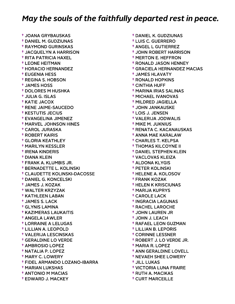† JOANA GRYBAUSKAS † DANIEL M. GUDZIUNAS † RAYMOND GURINSKAS † JACQUELYN A HARRISON † RITA PATRICIA HAXEL † LEONE HEITMAN † HORACIO HERNANDEZ † EUGENIA HESS † REGINA S. HOBSON † JAMES HOSS † DOLORES M HUSHKA † JULIA G. ISLAS † KATIE JACOX † RENE JAIME-SAUCEDO † KESTUTIS JECIUS † EVANGELINA JIMENEZ † MARVEL JOHNSON HINES † CAROL JURASKA † ROBERT KAIRIS † GLORIA KEATHLEY † MARILYN KESSLER † IRENA KINDERIS † DIANA KLEIN † FRANK A. KLUMBIS JR. † BERNADETTE L. KOLINSKI † CLAUDETTE KOLINSKI-DACOSSE † DANIEL G. KONCELSKI † JAMES J. KOZAK † WALTER KRZYZAK † KATHLEEN LABAN † JAMES S. LACK † GLYNIS LAMINA † KAZIMERAS LAUKAITIS † ANGELA LAWLER † LORRAINE A LELUGAS † LILLIAN A. LEOPOLD † VALERIJA LESCINSKAS † GERALDINE LO VERDE † AMBROSIO LOPEZ † NATALIA P. LOPEZ † MARY C. LOWERY † FIDEL ARMANDO LOZANO-IBARRA † MARIAN LUKSHAS † ANTONIO M MACIAS † EDWARD J. MACKEY

 † DANIEL K. GUDZIUNAS † LUIS C. GUERRERO † ANGEL L GUTIERREZ † JOHN ROBERT HARRISON † MERTON E. HEFFRON † RONALD JASON HENNEY † GRACIELA HERNANDEZ MACIAS † JAMES HLAVATY † RONALD HOPKINS † CINTHIA HUFF † MARINA IRIAS SALINAS † MICHAEL IVANOVAS † MILDRED JAGIELLA † JOHN JANKAUSKE † LOIS J. JENSEN † VALERIJA JODWALIS † MIKE M. JUKNIUS † RENATA C. KACANAUSKAS † ANNA MAE KARALAW † CHARLES T. KELPSA † THOMAS KILCOYNE II † DANIEL STEPHEN KLEIN † VACLOVAS KLEIZA † ALDONA KLYGIS † PETER KOLINSKI † HELENE A. KOLOSOV † FRANK KOZAK † HELEN K KRISCIUNAS † MARIJA KUPRYS † CAROLE LACK † INGRACIA LAGUNAS † RACHEL LAROCHE † JOHN LAUREN JR † JOHN J. LEACH † RAFAEL LEON GUZMAN † LILLIAN B. LEPORIS † CORINNE LESSNER † ROBERT J. LO VERDE JR. † MARIA R. LOPEZ † ANN GERALDINE LOVELL † NEVAEH SHEE LOWERY † JILL LUKAS † VICTORIA LUNA FRAIRE † RUTH A. MACIKAS

† CURT MARCEILLE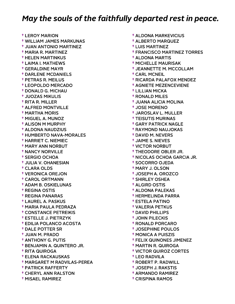† LEROY MARION † WILLIAM JAMES MARKUNAS † JUAN ANTONIO MARTINEZ † MARIA R. MARTINEZ † HELEN MARTINKUS † LAIMA I. MATHEWS † GERALDINE MAYR † DARLENE MCDANIELS † PETRAS R. MEILUS † LEOPOLDO MERCADO † DONALD G. MICHAU † JUOZAS MIKULIS † RITA R. MILLER † ALFRED MONTVILLE † MARTHA MORIS † MIGUEL A. MUNOZ † ALISON M MURPHY † ALDONA NAUDZIUS † HUMBERTO NAVA-MORALES † HARRIET C. NIEMIEC † MARY ANN NORBUT † NANCY NORVILLE † SERGIO OCHOA † JULIA V. OHANESIAN † CLARA OLDS † VERONICA OREJON † CAROL ORTMANN † ADAM B. OSKIELUNAS † REGINA OSTIS † REGINA PANARAS † LAUREL A. PASKUS † MARIA PAULA PEDRAZA † CONSTANCE PETREIKIS † ESTELLE J. PIETRZYK † EDILIA POLANCO ACOSTA † DALE POTTER SR † JUAN M. PRADO † ANTHONY G. PUTIS † BENJAMIN A. QUINTERO JR. † RITA QUIROGA † ELENA RACKAUSKAS † MARGARET M RADVILAS-PEREA † PATRICK RAFFERTY † CHERYL ANN RALSTON † MISAEL RAMIREZ

 † ALDONA MARKEVICIUS † ALBERTO MARQUEZ † LUIS MARTINEZ † FRANCISCO MARTINEZ TORRES † ALDONA MARTIS † MICHELLE MAURISAK † JEANNETTE M. MCCOLLAM † CARL MCNEIL † RICARDA PALAFOX MENDEZ † AGNIETE MEZENCEVIENE † LILLIAN MICKA † RONALD MILES † JUANA ALICIA MOLINA † JOSE MORENO † JAROSLAV L. MULLER † TEISUTIS MURINAS † GARY PATRICK NAGLE † RAYMOND NAUJOKAS † DAVID M. NEVERS † JAIME S. NIEVES † VICTOR NORBUT † THEODORE OBLER JR. † NICOLAS OCHOA GARCIA JR. † SOCORRO OJEDA † MARY J. OLSON † JOSEPH A. OROZCO † SHIRLEY OSHEA † ALGIRD OSTIS † ALDONA PALEKAS † HERMELINDA PARRA † ESTELA PATINO † VALERIA PETKUS † DAVID PHILLIPS † JOHN PILECKIS † RONALD PORCARO † JOSEPHINE POULOS † MONICA A PUISZIS † FELIX QUINONES JIMENEZ † MARTIN R. QUIROGA † VICTOR QUIROZ CORTES † LEO RADVILA † ROBERT P. RADWILL † JOSEPH J. RAKSTIS † ARMANDO RAMIREZ

† CRISPINA RAMOS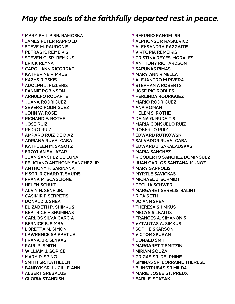† MARY PHILIP SR. RAMOSKA † JAMES PETER RAPPOLD † STEVE M. RAUDONIS † PETRAS K. REMEIKIS † STEVEN C. SR. REMKUS † ERICK REYNA † CAROL ANN RICORDATI † KATHERINE RIMKUS † KAZYS RIPSKIS † ADOLPH J. RIZLERIS † FANNIE ROBINSON † ARNULFO RODARTE † JUANA RODRIGUEZ † SEVERO RODRIGUEZ † JOHN W. ROSE † RICHARD E. ROTHE † JOSE RUIZ † PEDRO RUIZ † AMPARO RUIZ DE DIAZ † ADRIANA RUVALCABA † KATHLEEN M. SAGOTZ † FROYLAN SALAZAR † JUAN SANCHEZ DE LUNA † FELICIANO ANTHONY SANCHEZ JR. † ANTHONY F. SARINANA † MSGR. RICHARD T. SAUDIS † FRANK M. SCAGLIONE † HELEN SCHUIT † ALVIN H. SENF JR. † CASIMIR P SERPETIS † DONALD J. SHEA † ELIZABETH P. SHIMKUS † BEATRICE F SHUMINAS † CARLOS SILVA GARCIA † BERNICE B. SIMBAL † LORETTA M. SIMON † LAWRENCE SKIPPET JR. † FRANK, JR. SLYKAS † PAUL P. SMITH † WILLIAM J. SORICE † MARY D. SPINO † SMITH SR. KATHLEEN † BANDYK SR. LUCILLE ANN † ALBERT SREBALUS † GLORIA STANDISH

 † REFUGIO RANGEL SR. † ALPHONSE R RASKEVICZ † ALEKSANDRA RAZGAITIS † VIKTORIA REMEIKIS † CRISTINA REYES-MORALES † ANTHONY RICHARDSON † SARUNAS RIMAS † MARY ANN RINELLA † ALEJANDRO M RIVERA † STEPHAN A ROBERTS † JOSE PIO ROBLES † HERLINDA RODRIGUEZ † MARIO RODRIGUEZ † ANA ROMAN † HELEN S. ROTHE † DAINA G. RUDAITIS † MARIA CONSUELO RUIZ † ROBERTO RUIZ † EDWARD RUTKOWSKI † SALVADOR RUVALCABA † EDWARD J. SAKALAUSKAS † MARIA SANCHEZ † RIGOBERTO SANCHEZ DOMINGUEZ † JUAN CARLOS SANTANA-MUNOZ † MARY SARPOLIS † MYRTLE SAVICKAS † MICHAEL J. SCHMIDT † CECILIA SCHWER † MARGARET SERELIS-BALINT † RITA SETH † JO ANN SHEA † THERESA SHIMKUS † MECYS SILKAITIS † FRANCES A. SIMANONIS † VYTAUTAS A. SIMKUS † SOPHIE SKARSON † VICTOR SKURAN † DONALD SMITH † MARGARET T SMITZIN † MIRIAM SOUZA † GRIGAS SR. DELPHINE † SIMINAS SR. LORRAINE THERESE

- † BLINSTRUBAS SR.MILDA
- † MARIE JOSEE ST. PREUX
- † EARL E. STAZAK